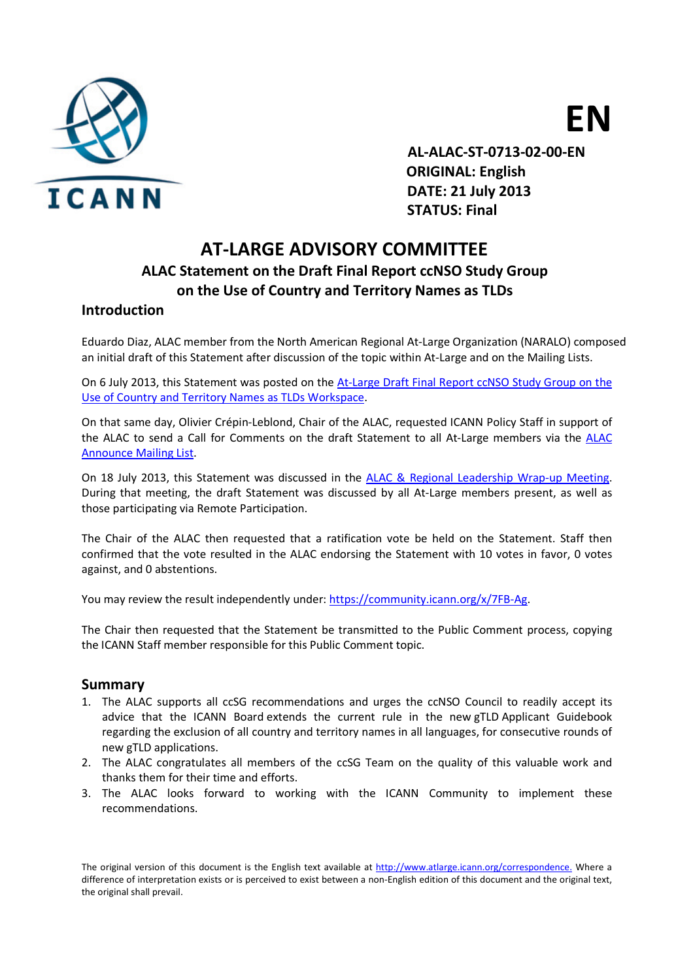

EN

 AL-ALAC-ST-0713-02-00-EN ORIGINAL: English DATE: 21 July 2013 STATUS: Final

## AT-LARGE ADVISORY COMMITTEE ALAC Statement on the Draft Final Report ccNSO Study Group

### on the Use of Country and Territory Names as TLDs

#### **Introduction**

Eduardo Diaz, ALAC member from the North American Regional At‐Large Organization (NARALO) composed an initial draft of this Statement after discussion of the topic within At-Large and on the Mailing Lists.

On 6 July 2013, this Statement was posted on the At-Large Draft Final Report ccNSO Study Group on the Use of Country and Territory Names as TLDs Workspace.

On that same day, Olivier Crépin‐Leblond, Chair of the ALAC, requested ICANN Policy Staff in support of the ALAC to send a Call for Comments on the draft Statement to all At-Large members via the ALAC Announce Mailing List.

On 18 July 2013, this Statement was discussed in the ALAC & Regional Leadership Wrap‐up Meeting. During that meeting, the draft Statement was discussed by all At‐Large members present, as well as those participating via Remote Participation.

The Chair of the ALAC then requested that a ratification vote be held on the Statement. Staff then confirmed that the vote resulted in the ALAC endorsing the Statement with 10 votes in favor, 0 votes against, and 0 abstentions.

You may review the result independently under: https://community.icann.org/x/7FB-Ag.

The Chair then requested that the Statement be transmitted to the Public Comment process, copying the ICANN Staff member responsible for this Public Comment topic.

#### Summary

- 1. The ALAC supports all ccSG recommendations and urges the ccNSO Council to readily accept its advice that the ICANN Board extends the current rule in the new gTLD Applicant Guidebook regarding the exclusion of all country and territory names in all languages, for consecutive rounds of new gTLD applications.
- 2. The ALAC congratulates all members of the ccSG Team on the quality of this valuable work and thanks them for their time and efforts.
- 3. The ALAC looks forward to working with the ICANN Community to implement these recommendations.

The original version of this document is the English text available at http://www.atlarge.icann.org/correspondence. Where a difference of interpretation exists or is perceived to exist between a non-English edition of this document and the original text, the original shall prevail.